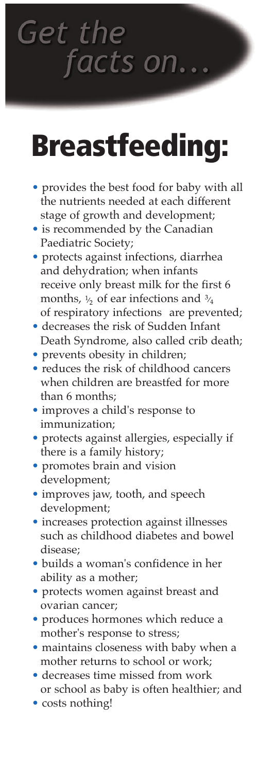**Get the** facts on.

## **Breastfeeding:**

- provides the best food for baby with all the nutrients needed at each different stage of growth and development;
- is recommended by the Canadian Paediatric Society;
- protects against infections, diarrhea and dehydration; when infants receive only breast milk for the first 6 months,  $\frac{1}{2}$  of ear infections and  $\frac{3}{4}$ of respiratory infections are prevented;
- decreases the risk of Sudden Infant Death Syndrome, also called crib death;
- prevents obesity in children;
- reduces the risk of childhood cancers when children are breastfed for more than 6 months;
- improves a child's response to immunization;
- protects against allergies, especially if there is a family history;
- promotes brain and vision development;
- improves jaw, tooth, and speech development;
- increases protection against illnesses such as childhood diabetes and bowel disease;
- builds a woman's confidence in her ability as a mother;
- protects women against breast and ovarian cancer;
- produces hormones which reduce a mother's response to stress;
- maintains closeness with baby when a mother returns to school or work;
- decreases time missed from work or school as baby is often healthier; and
- costs nothing!